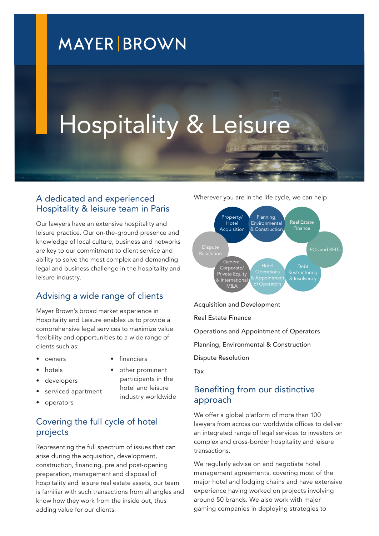# **MAYER BROWN**

# Hospitality & Leisure

#### A dedicated and experienced Hospitality & leisure team in Paris

Our lawyers have an extensive hospitality and leisure practice. Our on-the-ground presence and knowledge of local culture, business and networks are key to our commitment to client service and ability to solve the most complex and demanding legal and business challenge in the hospitality and leisure industry.

# Advising a wide range of clients

Mayer Brown's broad market experience in Hospitality and Leisure enables us to provide a comprehensive legal services to maximize value flexibility and opportunities to a wide range of clients such as:

- owners
- **financiers**
- hotels
- developers
- serviced apartment
- participants in the hotel and leisure industry worldwide

other prominent

• operators

# Covering the full cycle of hotel projects

Representing the full spectrum of issues that can arise during the acquisition, development, construction, financing, pre and post-opening preparation, management and disposal of hospitality and leisure real estate assets, our team is familiar with such transactions from all angles and know how they work from the inside out, thus adding value for our clients.

Wherever you are in the life cycle, we can help



Acquisition and Development

Real Estate Finance

Operations and Appointment of Operators

Planning, Environmental & Construction

Dispute Resolution

Tax

## Benefiting from our distinctive approach

We offer a global platform of more than 100 lawyers from across our worldwide offices to deliver an integrated range of legal services to investors on complex and cross-border hospitality and leisure transactions.

We regularly advise on and negotiate hotel management agreements, covering most of the major hotel and lodging chains and have extensive experience having worked on projects involving around 50 brands. We also work with major gaming companies in deploying strategies to